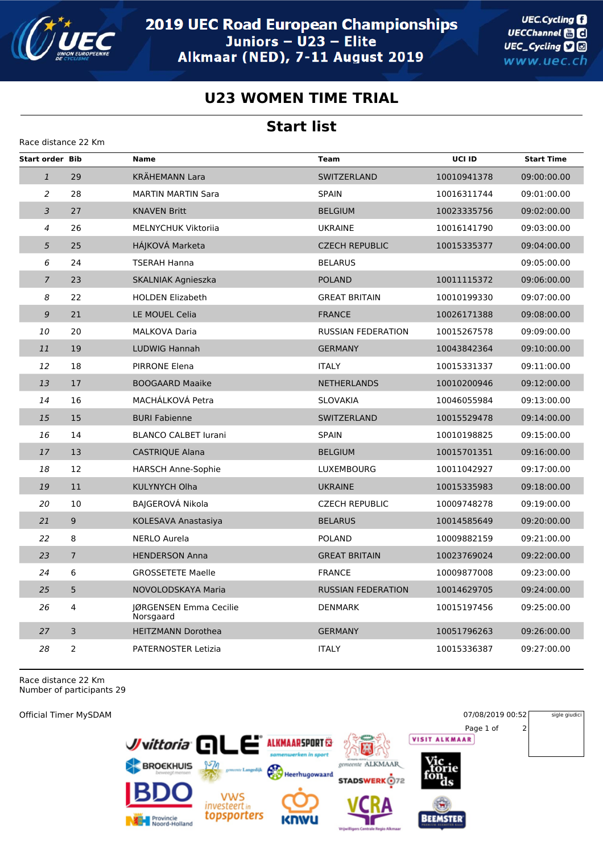

**UEC.Cycling** UECChannel **and** UEC\_Cycling **D** www.uec.ch

sigle giudici

## **U23 WOMEN TIME TRIAL**

## **Start list**

| Race distance 22 Km    |                |                                     |                           |             |                   |  |  |  |  |
|------------------------|----------------|-------------------------------------|---------------------------|-------------|-------------------|--|--|--|--|
| <b>Start order Bib</b> |                | <b>Name</b>                         | <b>Team</b>               | UCI ID      | <b>Start Time</b> |  |  |  |  |
| $\mathbf{1}$           | 29             | <b>KRÄHEMANN Lara</b>               | <b>SWITZERLAND</b>        | 10010941378 | 09:00:00.00       |  |  |  |  |
| 2                      | 28             | <b>MARTIN MARTIN Sara</b>           | <b>SPAIN</b>              | 10016311744 | 09:01:00.00       |  |  |  |  |
| 3                      | 27             | <b>KNAVEN Britt</b>                 | <b>BELGIUM</b>            | 10023335756 | 09:02:00.00       |  |  |  |  |
| $\overline{4}$         | 26             | <b>MELNYCHUK Viktorija</b>          | <b>UKRAINE</b>            | 10016141790 | 09:03:00.00       |  |  |  |  |
| 5                      | 25             | HÁJKOVÁ Marketa                     | <b>CZECH REPUBLIC</b>     | 10015335377 | 09:04:00.00       |  |  |  |  |
| 6                      | 24             | <b>TSERAH Hanna</b>                 | <b>BELARUS</b>            |             | 09:05:00.00       |  |  |  |  |
| $\overline{7}$         | 23             | SKALNIAK Agnieszka                  | <b>POLAND</b>             | 10011115372 | 09:06:00.00       |  |  |  |  |
| 8                      | 22             | <b>HOLDEN Elizabeth</b>             | <b>GREAT BRITAIN</b>      | 10010199330 | 09:07:00.00       |  |  |  |  |
| 9                      | 21             | LE MOUEL Celia                      | <b>FRANCE</b>             | 10026171388 | 09:08:00.00       |  |  |  |  |
| 10                     | 20             | <b>MALKOVA Daria</b>                | <b>RUSSIAN FEDERATION</b> | 10015267578 | 09:09:00.00       |  |  |  |  |
| 11                     | 19             | <b>LUDWIG Hannah</b>                | <b>GERMANY</b>            | 10043842364 | 09:10:00.00       |  |  |  |  |
| 12                     | 18             | <b>PIRRONE Elena</b>                | <b>ITALY</b>              | 10015331337 | 09:11:00.00       |  |  |  |  |
| 13                     | 17             | <b>BOOGAARD Maaike</b>              | <b>NETHERLANDS</b>        | 10010200946 | 09:12:00.00       |  |  |  |  |
| 14                     | 16             | MACHÁLKOVÁ Petra                    | <b>SLOVAKIA</b>           | 10046055984 | 09:13:00.00       |  |  |  |  |
| 15                     | 15             | <b>BURI Fabienne</b>                | SWITZERLAND               | 10015529478 | 09:14:00.00       |  |  |  |  |
| 16                     | 14             | <b>BLANCO CALBET lurani</b>         | <b>SPAIN</b>              | 10010198825 | 09:15:00.00       |  |  |  |  |
| 17                     | 13             | <b>CASTRIQUE Alana</b>              | <b>BELGIUM</b>            | 10015701351 | 09:16:00.00       |  |  |  |  |
| 18                     | 12             | <b>HARSCH Anne-Sophie</b>           | <b>LUXEMBOURG</b>         | 10011042927 | 09:17:00.00       |  |  |  |  |
| 19                     | 11             | <b>KULYNYCH Olha</b>                | <b>UKRAINE</b>            | 10015335983 | 09:18:00.00       |  |  |  |  |
| 20                     | 10             | BAIGEROVÁ Nikola                    | <b>CZECH REPUBLIC</b>     | 10009748278 | 09:19:00.00       |  |  |  |  |
| 21                     | 9              | KOLESAVA Anastasiya                 | <b>BELARUS</b>            | 10014585649 | 09:20:00.00       |  |  |  |  |
| 22                     | 8              | <b>NERLO Aurela</b>                 | <b>POLAND</b>             | 10009882159 | 09:21:00.00       |  |  |  |  |
| 23                     | $\overline{7}$ | <b>HENDERSON Anna</b>               | <b>GREAT BRITAIN</b>      | 10023769024 | 09:22:00.00       |  |  |  |  |
| 24                     | 6              | <b>GROSSETETE Maelle</b>            | <b>FRANCE</b>             | 10009877008 | 09:23:00.00       |  |  |  |  |
| 25                     | 5              | NOVOLODSKAYA Maria                  | <b>RUSSIAN FEDERATION</b> | 10014629705 | 09:24:00.00       |  |  |  |  |
| 26                     | 4              | JØRGENSEN Emma Cecilie<br>Norsgaard | <b>DENMARK</b>            | 10015197456 | 09:25:00.00       |  |  |  |  |
| 27                     | 3              | <b>HEITZMANN Dorothea</b>           | <b>GERMANY</b>            | 10051796263 | 09:26:00.00       |  |  |  |  |
| 28                     | 2              | <b>PATERNOSTER Letizia</b>          | <b>ITALY</b>              | 10015336387 | 09:27:00.00       |  |  |  |  |

Race distance 22 Km Number of participants 29

Official Timer MySDAM 07/08/2019 00:52 Page 1 of 2 **VISIT ALKMAAR** Juittoria<sup>C</sup> **ALKMAARSPORT** te ALKMAAR **BROCKHUIS** M Heerhugowaard **STADSWERK** 072 **VWS** investeert in topsporters Provincie<br>Noord-Holland **BEEMSTER**